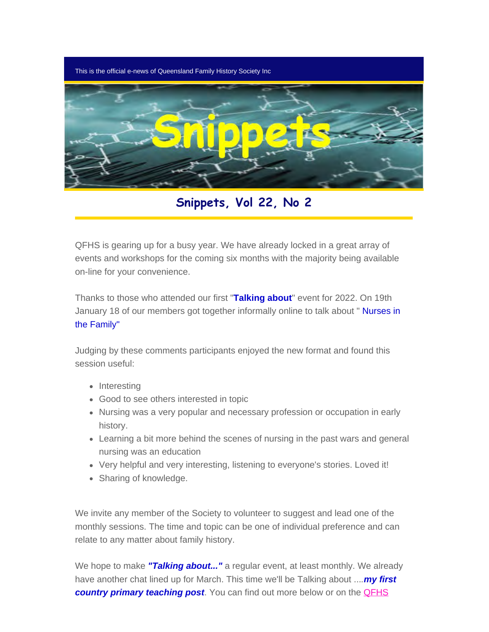This is the official e-news of Queensland Family History Society Inc



**Snippets, Vol 22, No 2**

QFHS is gearing up for a busy year. We have already locked in a great array of events and workshops for the coming six months with the majority being available on-line for your convenience.

Thanks to those who attended our first "**Talking about**" event for 2022. On 19th January 18 of our members got together informally online to talk about " Nurses in the Family"

Judging by these comments participants enjoyed the new format and found this session useful:

- Interesting
- Good to see others interested in topic
- Nursing was a very popular and necessary profession or occupation in early history.
- Learning a bit more behind the scenes of nursing in the past wars and general nursing was an education
- Very helpful and very interesting, listening to everyone's stories. Loved it!
- Sharing of knowledge.

We invite any member of the Society to volunteer to suggest and lead one of the monthly sessions. The time and topic can be one of individual preference and can relate to any matter about family history.

We hope to make **"Talking about..."** a regular event, at least monthly. We already have another chat lined up for March. This time we'll be Talking about ...*.my first country primary teaching post.* You can find out more below or on the **QFHS**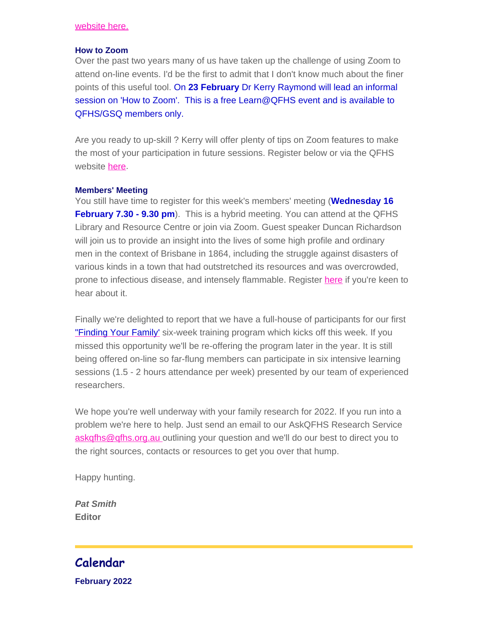#### [website here.](https://www.qfhs.org.au/events/talking-aboutmy-first-country-primary-teaching-post/)

#### **How to Zoom**

Over the past two years many of us have taken up the challenge of using Zoom to attend on-line events. I'd be the first to admit that I don't know much about the finer points of this useful tool. On **23 February** Dr Kerry Raymond will lead an informal session on 'How to Zoom'. This is a free Learn@QFHS event and is available to QFHS/GSQ members only.

Are you ready to up-skill ? Kerry will offer plenty of tips on Zoom features to make the most of your participation in future sessions. Register below or via the QFHS website [here.](https://www.qfhs.org.au/events/how-to-zoom/)

#### **Members' Meeting**

You still have time to register for this week's members' meeting (**Wednesday 16 February 7.30 - 9.30 pm**). This is a hybrid meeting. You can attend at the QFHS Library and Resource Centre or join via Zoom. Guest speaker Duncan Richardson will join us to provide an insight into the lives of some high profile and ordinary men in the context of Brisbane in 1864, including the struggle against disasters of various kinds in a town that had outstretched its resources and was overcrowded, prone to infectious disease, and intensely flammable. Register [here](https://www.eventbrite.com.au/e/members-meeting-february-duncan-richardson-tickets-210271857787) if you're keen to hear about it.

Finally we're delighted to report that we have a full-house of participants for our first ["Finding Your Family'](https://www.qfhs.org.au/events/learn-qfhs/finding-your-family-a-beginners-course-in-research/) six-week training program which kicks off this week. If you missed this opportunity we'll be re-offering the program later in the year. It is still being offered on-line so far-flung members can participate in six intensive learning sessions (1.5 - 2 hours attendance per week) presented by our team of experienced researchers.

We hope you're well underway with your family research for 2022. If you run into a problem we're here to help. Just send an email to our AskQFHS Research Service [askqfhs@qfhs.org.au o](mailto:askqfhs@qfhs.org.au)utlining your question and we'll do our best to direct you to the right sources, contacts or resources to get you over that hump.

Happy hunting.

*Pat Smith* **Editor**

# **Calendar**

**February 2022**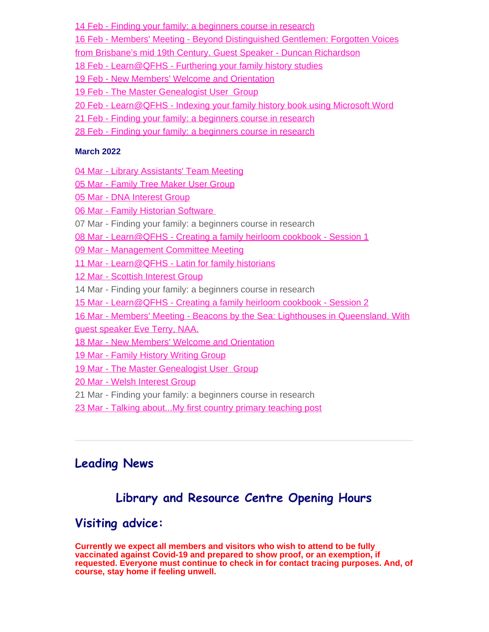[14 Feb - Finding your family: a beginners course in research](https://www.qfhs.org.au/CalendarEvent.aspx?dt=20220214_193000_23)

[16](https://www.qfhs.org.au/CalendarEvent.aspx?dt=20220216_193000_24) [Feb - Members' Meeting - Beyond Distinguished Gentlemen: Forgotten Voices](https://www.qfhs.org.au/CalendarEvent.aspx?dt=20220216_193000_24)

[from Brisbane's mid 19th Century. Guest Speaker - Duncan Richardson](https://www.qfhs.org.au/CalendarEvent.aspx?dt=20220216_193000_24)

18 Feb - Learn@QFHS - [Furthering your family history studies](https://www.qfhs.org.au/CalendarEvent.aspx?dt=20220218_100000_157)

[19 Feb - New Members' Welcome and Orientation](https://www.qfhs.org.au/CalendarEvent.aspx?dt=20220219_093000_26)

[19 Feb - The Master Genealogist User Group](https://www.qfhs.org.au/CalendarEvent.aspx?dt=20220219_133000_25)

20 Feb - Learn@QFHS - [Indexing your family history book using Microsoft Word](https://www.qfhs.org.au/CalendarEvent.aspx?dt=20220220_100000_167)

[21 Feb - Finding your family: a beginners course in research](https://www.qfhs.org.au/events/learn-qfhs/finding-your-family-a-beginners-course-in-research/)

[28 Feb - Finding your family: a beginners course in research](https://www.qfhs.org.au/events/learn-qfhs/finding-your-family-a-beginners-course-in-research/)

#### **March 2022**

[04 Mar - Library Assistants' Team Meeting](https://www.qfhs.org.au/CalendarEvent.aspx?dt=20220304_093000_172)

[05 Mar - Family Tree Maker User Group](https://www.qfhs.org.au/CalendarEvent.aspx?dt=20220305_100000_30)

[05 Mar - DNA Interest Group](https://www.qfhs.org.au/CalendarEvent.aspx?dt=20220305_133000_29)

[06 Mar - Family Historian Software](https://www.qfhs.org.au/CalendarEvent.aspx?dt=20220306_130000_164)

07 Mar - Finding your family: a beginners course in research

08 Mar - Learn@QFHS - [Creating a family heirloom cookbook - Session 1](https://www.qfhs.org.au/CalendarEvent.aspx?dt=20220308_193000_159)

[09 Mar - Management Committee Meeting](https://www.qfhs.org.au/CalendarEvent.aspx?dt=20220309_193000_32)

[11 Mar - Learn@QFHS - Latin for family historians](https://www.qfhs.org.au/CalendarEvent.aspx?dt=20220311_100000_33)

- [12 Mar Scottish Interest Group](https://www.qfhs.org.au/CalendarEvent.aspx?dt=20220312_100000_34)
- 14 Mar Finding your family: a beginners course in research

[15 Mar - Learn@QFHS - Creating a family heirloom cookbook - Session 2](https://www.qfhs.org.au/CalendarEvent.aspx?dt=20220315_193000_160)

[16 Mar - Members' Meeting - Beacons by the Sea: Lighthouses in Queensland. With](https://www.qfhs.org.au/CalendarEvent.aspx?dt=20220316_130000_36)

[guest speaker Eve Terry, NAA.](https://www.qfhs.org.au/CalendarEvent.aspx?dt=20220316_130000_36)

[18 Mar - New Members' Welcome and Orientation](https://www.qfhs.org.au/CalendarEvent.aspx?dt=20220318_090000_37)

[19 Mar - Family History Writing Group](https://www.qfhs.org.au/CalendarEvent.aspx?dt=20220319_090000_38)

[19 Mar - The Master Genealogist User Group](https://www.qfhs.org.au/CalendarEvent.aspx?dt=20220319_133000_39)

- [20 Mar Welsh Interest Group](https://www.qfhs.org.au/CalendarEvent.aspx?dt=20220320_100000_40)
- 21 Mar Finding your family: a beginners course in research

[23 Mar - Talking about...My first country primary teaching post](https://www.qfhs.org.au/CalendarEvent.aspx?dt=20220323_100000_170)

# **Leading News**

# **Library and Resource Centre Opening Hours**

# **Visiting advice:**

**Currently we expect all members and visitors who wish to attend to be fully vaccinated against Covid-19 and prepared to show proof, or an exemption, if requested. Everyone must continue to check in for contact tracing purposes. And, of course, stay home if feeling unwell.**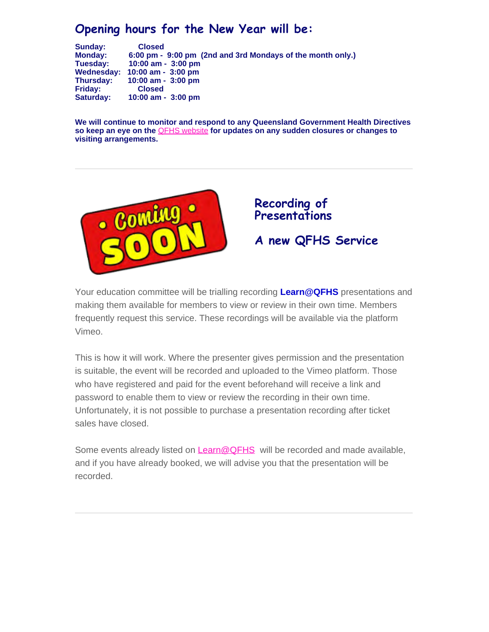# **Opening hours for the New Year will be:**

**Sunday: Closed Monday: 6:00 pm - 9:00 pm (2nd and 3rd Mondays of the month only.) Tuesday: 10:00 am - 3:00 pm Wednesday: 10:00 am - 3:00 pm Thursday: 10:00 am - 3:00 pm Friday:**<br>Saturday: **Saturday: 10:00 am - 3:00 pm**

**We will continue to monitor and respond to any Queensland Government Health Directives so keep an eye on the** [QFHS website](https://www.qfhs.org.au/) **for updates on any sudden closures or changes to visiting arrangements.**



# **Recording of Presentations A new QFHS Service**

Your education committee will be trialling recording **Learn@QFHS** presentations and making them available for members to view or review in their own time. Members frequently request this service. These recordings will be available via the platform Vimeo.

This is how it will work. Where the presenter gives permission and the presentation is suitable, the event will be recorded and uploaded to the Vimeo platform. Those who have registered and paid for the event beforehand will receive a link and password to enable them to view or review the recording in their own time. Unfortunately, it is not possible to purchase a presentation recording after ticket sales have closed.

Some events already listed on [Learn@QFHS](https://www.qfhs.org.au/events/learn-qfhs/) will be recorded and made available, and if you have already booked, we will advise you that the presentation will be recorded.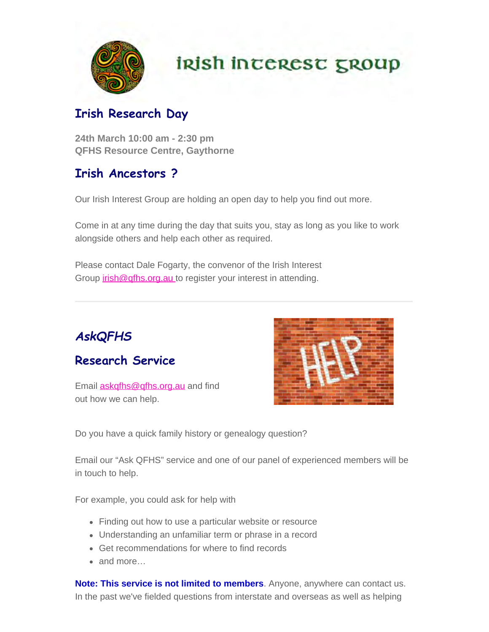

# **irish incerest group**

# **Irish Research Day**

**24th March 10:00 am - 2:30 pm QFHS Resource Centre, Gaythorne**

# **Irish Ancestors ?**

Our Irish Interest Group are holding an open day to help you find out more.

Come in at any time during the day that suits you, stay as long as you like to work alongside others and help each other as required.

Please contact Dale Fogarty, the convenor of the Irish Interest Group *[irish@qfhs.org.au](mailto:irish@qfhs.org.au)* to register your interest in attending.



# **Research Service**

Email **[askqfhs@qfhs.org.au](mailto:askqfhs@qfhs.org.au)** and find out how we can help.



Do you have a quick family history or genealogy question?

Email our "Ask QFHS" service and one of our panel of experienced members will be in touch to help.

For example, you could ask for help with

- Finding out how to use a particular website or resource
- Understanding an unfamiliar term or phrase in a record
- Get recommendations for where to find records
- and more…

**Note: This service is not limited to members**. Anyone, anywhere can contact us. In the past we've fielded questions from interstate and overseas as well as helping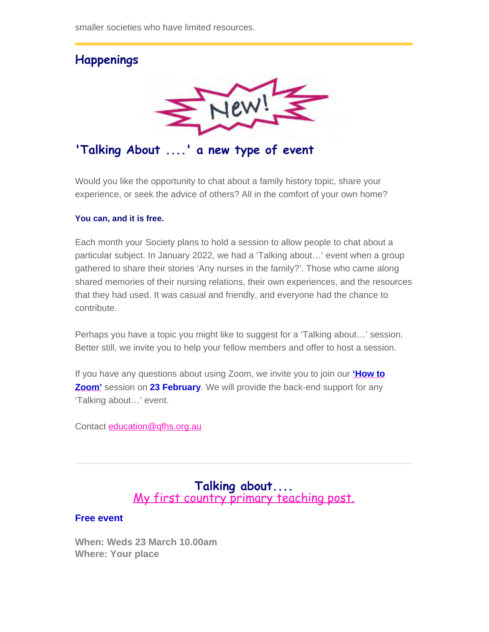smaller societies who have limited resources.



**'Talking About ....' a new type of event**

Would you like the opportunity to chat about a family history topic, share your experience, or seek the advice of others? All in the comfort of your own home?

#### **You can, and it is free.**

Each month your Society plans to hold a session to allow people to chat about a particular subject. In January 2022, we had a 'Talking about…' event when a group gathered to share their stories 'Any nurses in the family?'. Those who came along shared memories of their nursing relations, their own experiences, and the resources that they had used. It was casual and friendly, and everyone had the chance to contribute.

Perhaps you have a topic you might like to suggest for a 'Talking about…' session. Better still, we invite you to help your fellow members and offer to host a session.

If you have any questions about using Zoom, we invite you to join our **['How to](https://www.qfhs.org.au/events/how-to-zoom/) [Zoom'](https://www.qfhs.org.au/events/how-to-zoom/)** session on **23 February**. We will provide the back-end support for any 'Talking about…' event.

Contact [education@qfhs.org.au](mailto:education@qfhs.org.au)

### **Talking about....** [My first country primary teaching post.](https://www.qfhs.org.au/CalendarEvent.aspx?dt=20220323_100000_170)

#### **Free event**

**When: Weds 23 March 10.00am Where: Your place**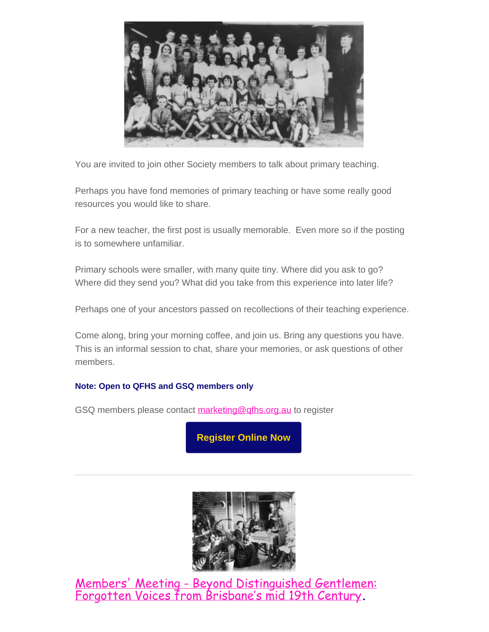

You are invited to join other Society members to talk about primary teaching.

Perhaps you have fond memories of primary teaching or have some really good resources you would like to share.

For a new teacher, the first post is usually memorable. Even more so if the posting is to somewhere unfamiliar.

Primary schools were smaller, with many quite tiny. Where did you ask to go? Where did they send you? What did you take from this experience into later life?

Perhaps one of your ancestors passed on recollections of their teaching experience.

Come along, bring your morning coffee, and join us. Bring any questions you have. This is an informal session to chat, share your memories, or ask questions of other members.

#### **Note: Open to QFHS and GSQ members only**

GSQ members please contact [marketing@qfhs.org.au](mailto:marketin@qfhs.org.au) to register

**[Register Online Now](https://www.eventbrite.com.au/e/my-first-country-primary-teaching-post-tickets-265729232287)**



[Members' Meeting - Beyond Distinguished Gentlemen:](https://www.qfhs.org.au/CalendarEvent.aspx?dt=20220216_193000_24) [Forgotten Voices from Brisbane's mid 19th Century](https://www.qfhs.org.au/CalendarEvent.aspx?dt=20220216_193000_24)**.**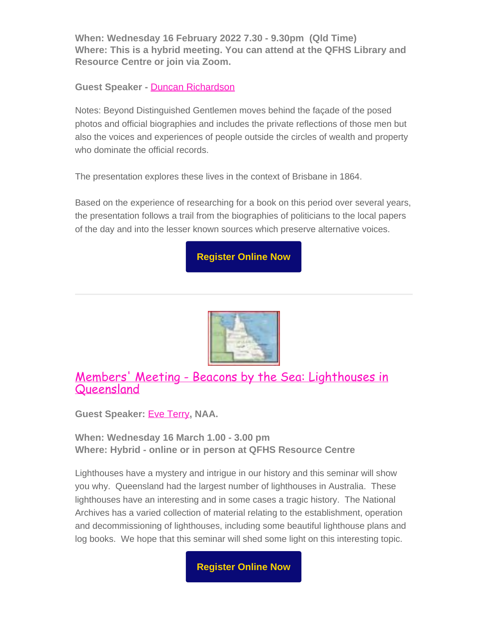**When: Wednesday 16 February 2022 7.30 - 9.30pm (Qld Time) Where: This is a hybrid meeting. You can attend at the QFHS Library and Resource Centre or join via Zoom.**

#### **Guest Speaker -** [Duncan Richardson](https://www.qfhs.org.au/biographies/duncan-richardson/)

Notes: Beyond Distinguished Gentlemen moves behind the façade of the posed photos and official biographies and includes the private reflections of those men but also the voices and experiences of people outside the circles of wealth and property who dominate the official records.

The presentation explores these lives in the context of Brisbane in 1864.

Based on the experience of researching for a book on this period over several years, the presentation follows a trail from the biographies of politicians to the local papers of the day and into the lesser known sources which preserve alternative voices.

**[Register Online Now](https://www.eventbrite.com.au/e/members-meeting-february-duncan-richardson-tickets-210271857787)**



### [Members' Meeting - Beacons by the Sea: Lighthouses in](https://www.qfhs.org.au/CalendarEvent.aspx?dt=20220316_130000_36) **[Queensland](https://www.qfhs.org.au/CalendarEvent.aspx?dt=20220316_130000_36)**

**Guest Speaker:** [Eve Terry](https://www.qfhs.org.au/biographies/eve-terry/)**, NAA.**

**When: Wednesday 16 March 1.00 - 3.00 pm Where: Hybrid - online or in person at QFHS Resource Centre**

Lighthouses have a mystery and intrigue in our history and this seminar will show you why. Queensland had the largest number of lighthouses in Australia. These lighthouses have an interesting and in some cases a tragic history. The National Archives has a varied collection of material relating to the establishment, operation and decommissioning of lighthouses, including some beautiful lighthouse plans and log books. We hope that this seminar will shed some light on this interesting topic.

**[Register Online Now](https://www.eventbrite.com.au/e/members-meeting-march-eve-terry-tickets-247782041757)**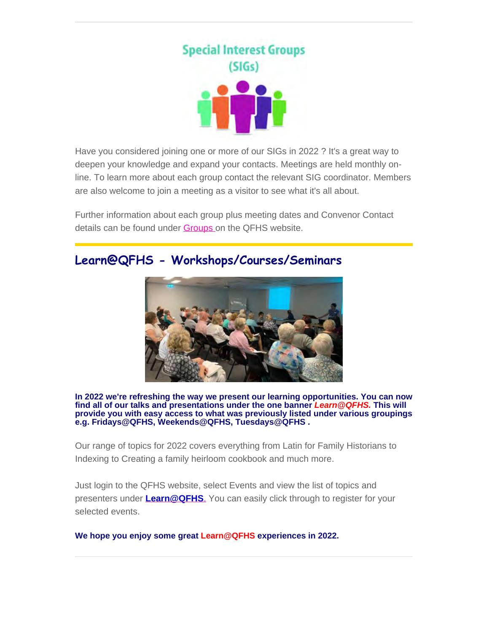

Have you considered joining one or more of our SIGs in 2022 ? It's a great way to deepen your knowledge and expand your contacts. Meetings are held monthly online. To learn more about each group contact the relevant SIG coordinator. Members are also welcome to join a meeting as a visitor to see what it's all about.

Further information about each group plus meeting dates and Convenor Contact details can be found under **Groups** on the QFHS website.

### **Learn@QFHS - Workshops/Courses/Seminars**



**In 2022 we're refreshing the way we present our learning opportunities. You can now find all of our talks and presentations under the one banner** *Learn@QFHS.* **This will provide you with easy access to what was previously listed under various groupings e.g. Fridays@QFHS, Weekends@QFHS, Tuesdays@QFHS .**

Our range of topics for 2022 covers everything from Latin for Family Historians to Indexing to Creating a family heirloom cookbook and much more.

Just login to the QFHS website, select Events and view the list of topics and presenters under **[Learn@QFHS](https://www.qfhs.org.au/events/learn-qfhs/)**[.](https://www.qfhs.org.au/events/learn-qfhs/) You can easily click through to register for your selected events.

**We hope you enjoy some great Learn@QFHS experiences in 2022.**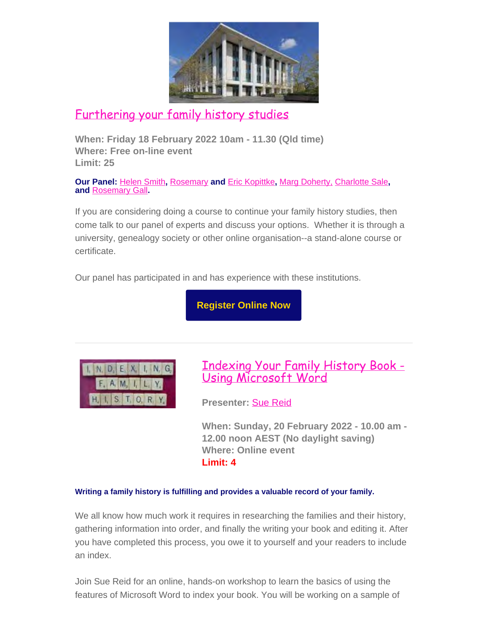

# [Furthering your family history studies](https://www.qfhs.org.au/CalendarEvent.aspx?dt=20220218_100000_157)

**When: Friday 18 February 2022 10am - 11.30 (Qld time) Where: Free on-line event Limit: 25**

**Our Panel:** [Helen Smith](https://www.qfhs.org.au/biographies/helen-smith/)**,** [Rosemary](https://www.qfhs.org.au/biographies/rosemary-kopittke/) **and** [Eric Kopittke](https://www.qfhs.org.au/biographies/eric-kopittke/)**,** [Marg Doherty,](https://www.qfhs.org.au/biographies/marg-doherty/) [Charlotte Sale](https://www.qfhs.org.au/biographies/charlotte-sale/)**, and** [Rosemary Gall](https://www.qfhs.org.au/biographies/rosemary-gall/)**.**

If you are considering doing a course to continue your family history studies, then come talk to our panel of experts and discuss your options. Whether it is through a university, genealogy society or other online organisation--a stand-alone course or certificate.

Our panel has participated in and has experience with these institutions.

**[Register Online Now](https://www.eventbrite.com.au/e/furthering-your-family-history-studies-tickets-189436869777)**



[Indexing Your Family History Book -](https://www.qfhs.org.au/CalendarEvent.aspx?dt=20220220_100000_167) [Using Microsoft Word](https://www.qfhs.org.au/CalendarEvent.aspx?dt=20220220_100000_167)

**Presenter:** [Sue Reid](https://www.qfhs.org.au/biographies/sue-reid/)

**When: Sunday, 20 February 2022 - 10.00 am - 12.00 noon AEST (No daylight saving) Where: Online event Limit: 4**

#### **Writing a family history is fulfilling and provides a valuable record of your family.**

We all know how much work it requires in researching the families and their history, gathering information into order, and finally the writing your book and editing it. After you have completed this process, you owe it to yourself and your readers to include an index.

Join Sue Reid for an online, hands-on workshop to learn the basics of using the features of Microsoft Word to index your book. You will be working on a sample of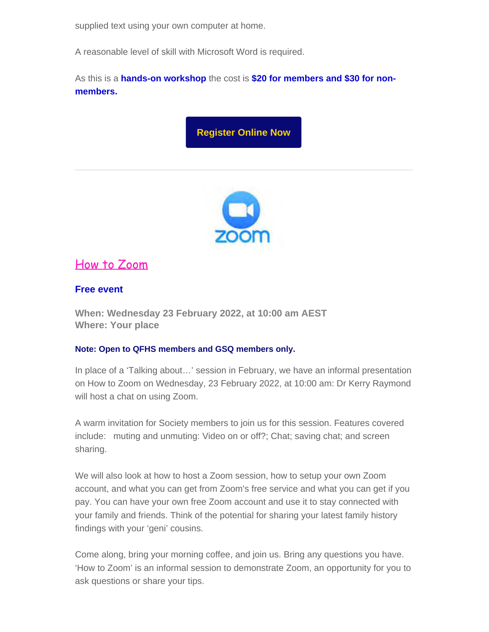supplied text using your own computer at home.

A reasonable level of skill with Microsoft Word is required.

As this is a **hands-on workshop** the cost is **\$20 for members and \$30 for nonmembers.**

# **[Register Online Now](https://www.eventbrite.com.au/e/indexing-your-family-history-book-using-microsoft-word-tickets-240587462577)**



### [How to Zoom](https://www.qfhs.org.au/events/how-to-zoom/)

#### **Free event**

**When: Wednesday 23 February 2022, at 10:00 am AEST Where: Your place**

#### **Note: Open to QFHS members and GSQ members only.**

In place of a 'Talking about…' session in February, we have an informal presentation on How to Zoom on Wednesday, 23 February 2022, at 10:00 am: Dr Kerry Raymond will host a chat on using Zoom.

A warm invitation for Society members to join us for this session. Features covered include: muting and unmuting: Video on or off?; Chat; saving chat; and screen sharing.

We will also look at how to host a Zoom session, how to setup your own Zoom account, and what you can get from Zoom's free service and what you can get if you pay. You can have your own free Zoom account and use it to stay connected with your family and friends. Think of the potential for sharing your latest family history findings with your 'geni' cousins.

Come along, bring your morning coffee, and join us. Bring any questions you have. 'How to Zoom' is an informal session to demonstrate Zoom, an opportunity for you to ask questions or share your tips.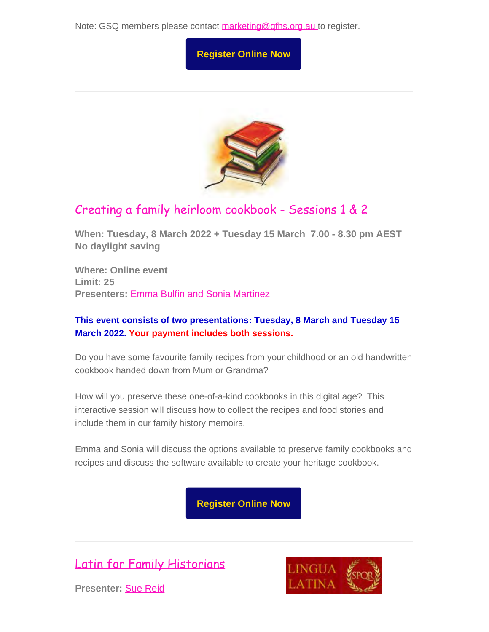Note: GSQ members please contact [marketing@qfhs.org.au](mailto:marketing@qfhs.org.au) to register.





# [Creating a family heirloom cookbook - Sessions 1 & 2](https://www.qfhs.org.au/CalendarEvent.aspx?dt=20220308_193000_159)

**When: Tuesday, 8 March 2022 + Tuesday 15 March 7.00 - 8.30 pm AEST No daylight saving**

**Where: Online event Limit: 25 Presenters:** [Emma Bulfin and Sonia Martinez](https://fareloom.co/page/media)

### **This event consists of two presentations: Tuesday, 8 March and Tuesday 15 March 2022. Your payment includes both sessions.**

Do you have some favourite family recipes from your childhood or an old handwritten cookbook handed down from Mum or Grandma?

How will you preserve these one-of-a-kind cookbooks in this digital age? This interactive session will discuss how to collect the recipes and food stories and include them in our family history memoirs.

Emma and Sonia will discuss the options available to preserve family cookbooks and recipes and discuss the software available to create your heritage cookbook.

**[Register Online Now](https://www.eventbrite.com.au/e/creating-a-family-heirloom-cookbook-tickets-195685178637)**

[Latin for Family Historians](https://www.qfhs.org.au/CalendarEvent.aspx?dt=20220311_100000_33)





**Presenter:** [Sue Reid](https://www.qfhs.org.au/biographies/sue-reid/)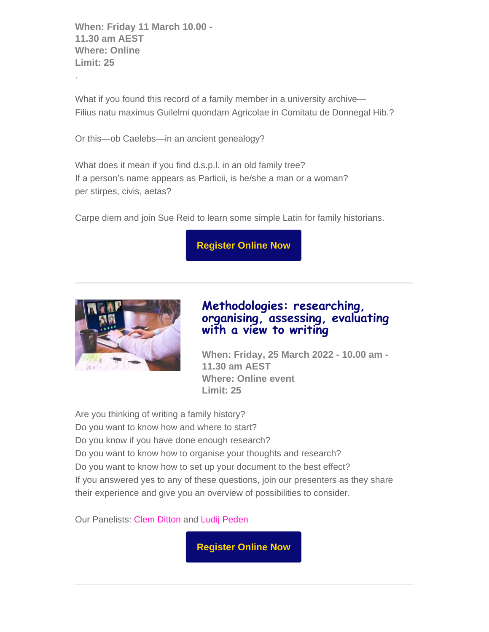**When: Friday 11 March 10.00 - 11.30 am AEST Where: Online Limit: 25**

.

What if you found this record of a family member in a university archive— Filius natu maximus Guilelmi quondam Agricolae in Comitatu de Donnegal Hib.?

Or this—ob Caelebs—in an ancient genealogy?

What does it mean if you find d.s.p.l. in an old family tree? If a person's name appears as Particii, is he/she a man or a woman? per stirpes, civis, aetas?

Carpe diem and join Sue Reid to learn some simple Latin for family historians.

**[Register Online Now](https://www.eventbrite.com.au/e/latin-for-family-historians-tickets-233986759697)**



### **Methodologies: researching, organising, assessing, evaluating with a view to writing**

**When: Friday, 25 March 2022 - 10.00 am - 11.30 am AEST Where: Online event Limit: 25**

Are you thinking of writing a family history? Do you want to know how and where to start? Do you know if you have done enough research? Do you want to know how to organise your thoughts and research? Do you want to know how to set up your document to the best effect? If you answered yes to any of these questions, join our presenters as they share their experience and give you an overview of possibilities to consider.

Our Panelists: [Clem Ditton](https://www.qfhs.org.au/biographies/clem-ditton/) and [Ludij Peden](https://www.qfhs.org.au/biographies/ludij-peden/)

**[Register Online Now](https://www.eventbrite.com.au/e/methodologies-researching-organising-assessing-evaluating-tickets-210286300987)**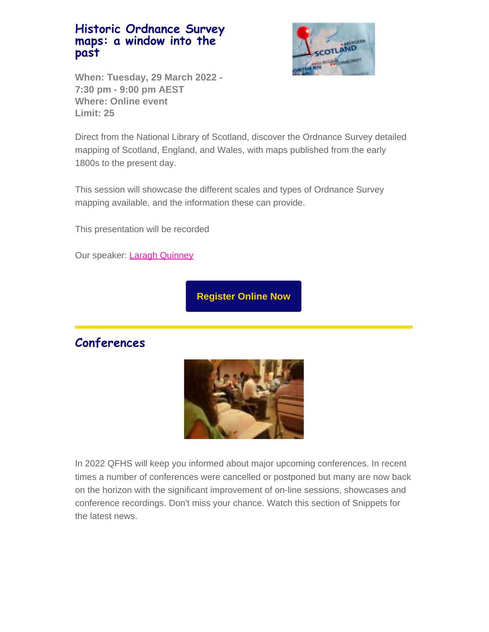### **Historic Ordnance Survey maps: a window into the past**



**When: Tuesday, 29 March 2022 - 7:30 pm - 9:00 pm AEST Where: Online event Limit: 25**

Direct from the National Library of Scotland, discover the Ordnance Survey detailed mapping of Scotland, England, and Wales, with maps published from the early 1800s to the present day.

This session will showcase the different scales and types of Ordnance Survey mapping available, and the information these can provide.

This presentation will be recorded

Our speaker: [Laragh Quinney](https://www.qfhs.org.au/biographies/laragh-quinney/)

**[Register Online Now](https://www.eventbrite.com.au/e/historic-ordnance-survey-maps-tickets-265484259567)**

### **Conferences**



In 2022 QFHS will keep you informed about major upcoming conferences. In recent times a number of conferences were cancelled or postponed but many are now back on the horizon with the significant improvement of on-line sessions, showcases and conference recordings. Don't miss your chance. Watch this section of Snippets for the latest news.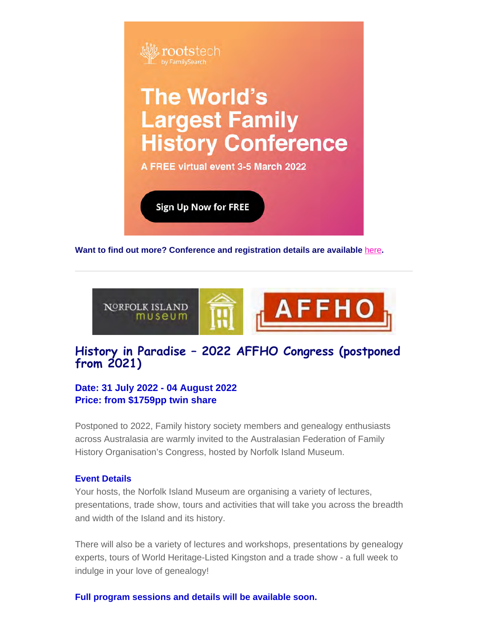

**Want to find out more? Conference and registration details are available** [here](https://www.familysearch.org/rootstech/next/?cid=em-rcr-12023&mkt_tok=NTc4LVRUWC04NzQAAAGBD_a4PLWL9Rj8G_SG9apHjicu7fbmnq0pCT_vKrHEaDh6v3Dy_XGrerkAcd_lVy8PjWYmTPLBleN58Hy0_ZO7qsIeYg_EFWR1ysLxCmCn4litWg)**.**



### **History in Paradise – 2022 AFFHO Congress (postponed from 2021)**

#### **Date: 31 July 2022 - 04 August 2022 Price: from \$1759pp twin share**

Postponed to 2022, Family history society members and genealogy enthusiasts across Australasia are warmly invited to the Australasian Federation of Family History Organisation's Congress, hosted by Norfolk Island Museum.

#### **Event Details**

Your hosts, the Norfolk Island Museum are organising a variety of lectures, presentations, trade show, tours and activities that will take you across the breadth and width of the Island and its history.

There will also be a variety of lectures and workshops, presentations by genealogy experts, tours of World Heritage-Listed Kingston and a trade show - a full week to indulge in your love of genealogy!

**Full program sessions and details will be available soon.**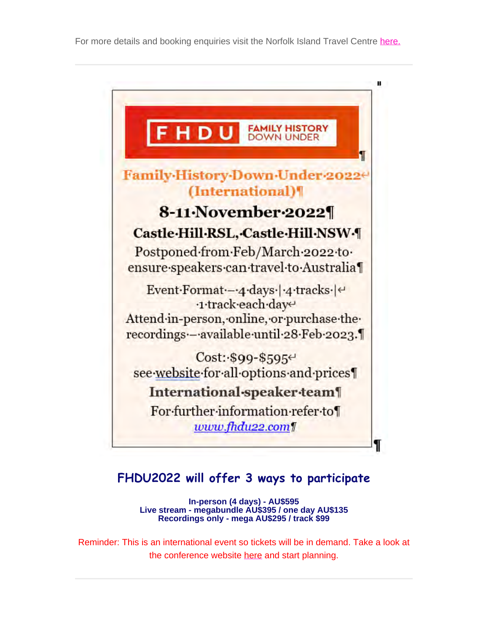

# **FHDU2022 will offer 3 ways to participate**

**In-person (4 days) - AU\$595 Live stream - megabundle AU\$395 / one day AU\$135 Recordings only - mega AU\$295 / track \$99**

Reminder: This is an international event so tickets will be in demand. Take a look at the conference website [here](https://www.fhdu22.com/) and start planning.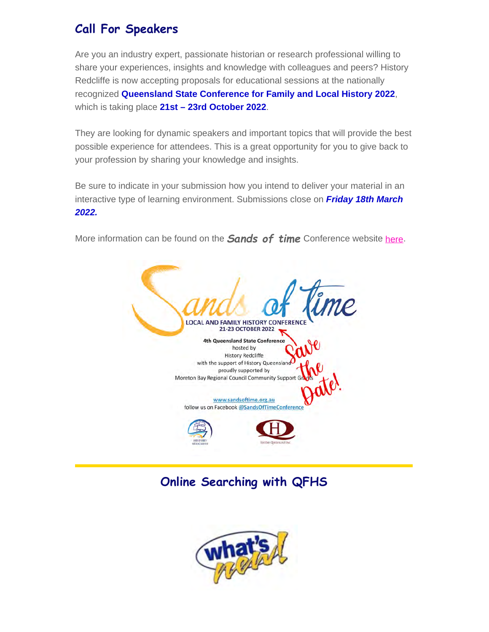# **Call For Speakers**

Are you an industry expert, passionate historian or research professional willing to share your experiences, insights and knowledge with colleagues and peers? History Redcliffe is now accepting proposals for educational sessions at the nationally recognized **Queensland State Conference for Family and Local History 2022**, which is taking place **21st – 23rd October 2022**.

They are looking for dynamic speakers and important topics that will provide the best possible experience for attendees. This is a great opportunity for you to give back to your profession by sharing your knowledge and insights.

Be sure to indicate in your submission how you intend to deliver your material in an interactive type of learning environment. Submissions close on *Friday 18th March 2022.*

More information can be found on the *Sands of time* Conference website [here.](https://sandsoftime.org.au/)



# **Online Searching with QFHS**

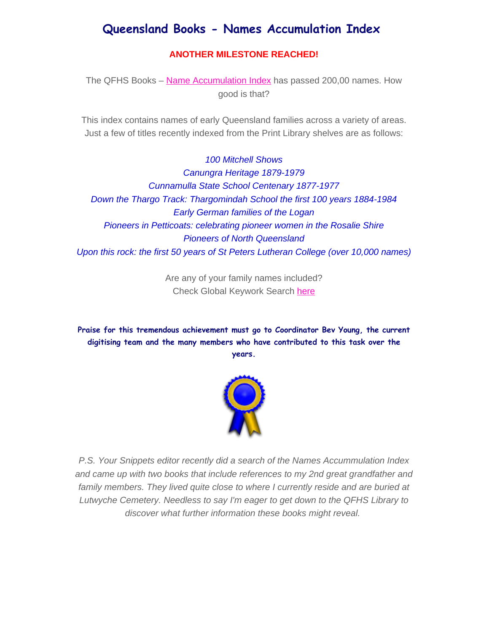# **Queensland Books - Names Accumulation Index**

#### **ANOTHER MILESTONE REACHED!**

The QFHS Books - [Name Accumulation Index](https://www.qfhs.org.au/online-access/qfhs-books-name-accumulation-index/) has passed 200,00 names. How good is that?

This index contains names of early Queensland families across a variety of areas. Just a few of titles recently indexed from the Print Library shelves are as follows:

*100 Mitchell Shows Canungra Heritage 1879-1979 Cunnamulla State School Centenary 1877-1977 Down the Thargo Track: Thargomindah School the first 100 years 1884-1984 Early German families of the Logan Pioneers in Petticoats: celebrating pioneer women in the Rosalie Shire Pioneers of North Queensland Upon this rock: the first 50 years of St Peters Lutheran College (over 10,000 names)*

> Are any of your family names included? Check Global Keywork Search [here](https://www.qfhs.org.au/online-access/searchable-datasets/global-keyword-search/)

**Praise for this tremendous achievement must go to Coordinator Bev Young, the current digitising team and the many members who have contributed to this task over the years.**



*P.S. Your Snippets editor recently did a search of the Names Accummulation Index and came up with two books that include references to my 2nd great grandfather and family members. They lived quite close to where I currently reside and are buried at Lutwyche Cemetery. Needless to say I'm eager to get down to the QFHS Library to discover what further information these books might reveal.*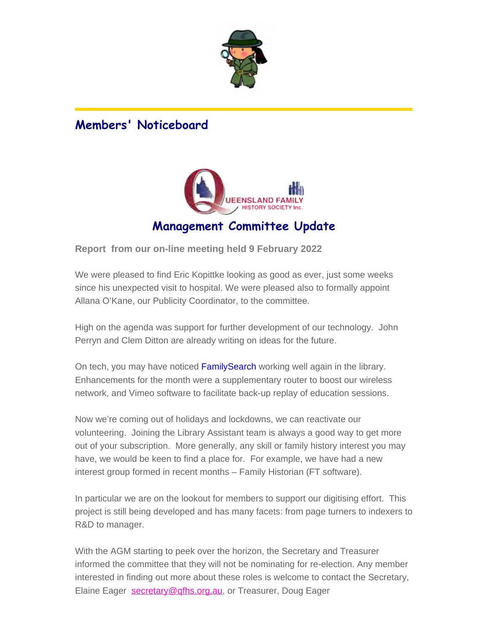

# **Members' Noticeboard**



# **Management Committee Update**

**Report from our on-line meeting held 9 February 2022**

We were pleased to find Eric Kopittke looking as good as ever, just some weeks since his unexpected visit to hospital. We were pleased also to formally appoint Allana O'Kane, our Publicity Coordinator, to the committee.

High on the agenda was support for further development of our technology. John Perryn and Clem Ditton are already writing on ideas for the future.

On tech, you may have noticed FamilySearch working well again in the library. Enhancements for the month were a supplementary router to boost our wireless network, and Vimeo software to facilitate back-up replay of education sessions.

Now we're coming out of holidays and lockdowns, we can reactivate our volunteering. Joining the Library Assistant team is always a good way to get more out of your subscription. More generally, any skill or family history interest you may have, we would be keen to find a place for. For example, we have had a new interest group formed in recent months – Family Historian (FT software).

In particular we are on the lookout for members to support our digitising effort. This project is still being developed and has many facets: from page turners to indexers to R&D to manager.

With the AGM starting to peek over the horizon, the Secretary and Treasurer informed the committee that they will not be nominating for re-election. Any member interested in finding out more about these roles is welcome to contact the Secretary, Elaine Eager [secretary@qfhs.org.au](http://qfhs.org.au/), or Treasurer, Doug Eager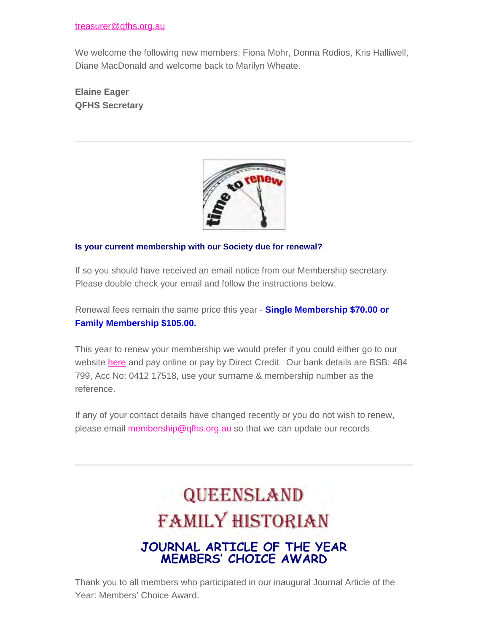We welcome the following new members: Fiona Mohr, Donna Rodios, Kris Halliwell, Diane MacDonald and welcome back to Marilyn Wheate.

**Elaine Eager QFHS Secretary**



#### **Is your current membership with our Society due for renewal?**

If so you should have received an email notice from our Membership secretary. Please double check your email and follow the instructions below.

Renewal fees remain the same price this year - **Single Membership \$70.00 or Family Membership \$105.00.**

This year to renew your membership we would prefer if you could either go to our website [here](https://www.qfhs.org.au/) and pay online or pay by Direct Credit. Our bank details are BSB: 484 799, Acc No: 0412 17518, use your surname & membership number as the reference.

If any of your contact details have changed recently or you do not wish to renew, please email [membership@qfhs.org.au](mailto:?subject=membership%40qfhs.org.au) so that we can update our records.

# **QUEENSLAND FAMILY HISTORIAN**

### **JOURNAL ARTICLE OF THE YEAR MEMBERS' CHOICE AWARD**

Thank you to all members who participated in our inaugural Journal Article of the Year: Members' Choice Award.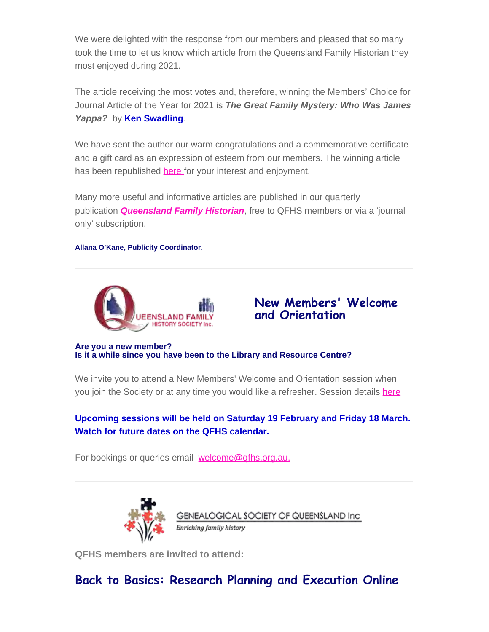We were delighted with the response from our members and pleased that so many took the time to let us know which article from the Queensland Family Historian they most enjoyed during 2021.

The article receiving the most votes and, therefore, winning the Members' Choice for Journal Article of the Year for 2021 is *The Great Family Mystery: Who Was James Yappa?* by **Ken Swadling**.

We have sent the author our warm congratulations and a commemorative certificate and a gift card as an expression of esteem from our members. The winning article has been republished [here](https://www.qfhs.org.au/media/1769202/21-008-011-feb-who-was-james-yappa-4-pp-copy.pdf) for your interest and enjoyment.

Many more useful and informative articles are published in our quarterly publication *[Queensland Family Historian](https://www.qfhs.org.au/resources/qld-family-historian/)*, free to QFHS members or via a 'journal only' subscription.

#### **Allana O'Kane, Publicity Coordinator.**



### **New Members' Welcome and Orientation**

**Are you a new member? Is it a while since you have been to the Library and Resource Centre?**

We invite you to attend a New Members' Welcome and Orientation session when you join the Society or at any time you would like a refresher. Session details [here](https://www.qfhs.org.au/events/new-members-welcome-and-orientation/)

#### **Upcoming sessions will be held on Saturday 19 February and Friday 18 March. Watch for future dates on the QFHS calendar.**

For bookings or queries email [welcome@qfhs.org.au.](mailto:welcome@qfhs.org.au?subject=New%20Members%20Orientation)



**QFHS members are invited to attend:**

# **Back to Basics: Research Planning and Execution Online**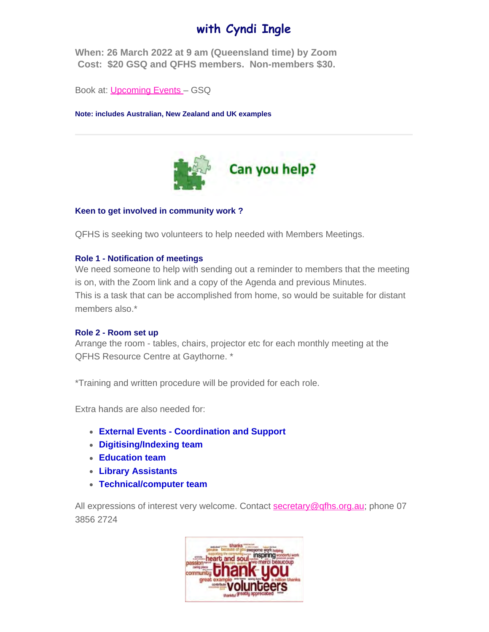# **with Cyndi Ingle**

**When: 26 March 2022 at 9 am (Queensland time) by Zoom Cost: \$20 GSQ and QFHS members. Non-members \$30.**

Book at: [Upcoming Events](https://www.gsq.org.au/event/back-to-basics-research-planning-and-execution-online/) – GSQ

**Note: includes Australian, New Zealand and UK examples**



#### **Keen to get involved in community work ?**

QFHS is seeking two volunteers to help needed with Members Meetings.

#### **Role 1 - Notification of meetings**

We need someone to help with sending out a reminder to members that the meeting is on, with the Zoom link and a copy of the Agenda and previous Minutes. This is a task that can be accomplished from home, so would be suitable for distant members also.\*

#### **Role 2 - Room set up**

Arrange the room - tables, chairs, projector etc for each monthly meeting at the QFHS Resource Centre at Gaythorne. \*

\*Training and written procedure will be provided for each role.

Extra hands are also needed for:

- **External Events Coordination and Support**
- **Digitising/Indexing team**
- **Education team**
- **Library Assistants**
- **Technical/computer team**

All expressions of interest very welcome. Contact [secretary@qfhs.org.au](mailto:secretary@qfhs.org.au); phone 07 3856 2724

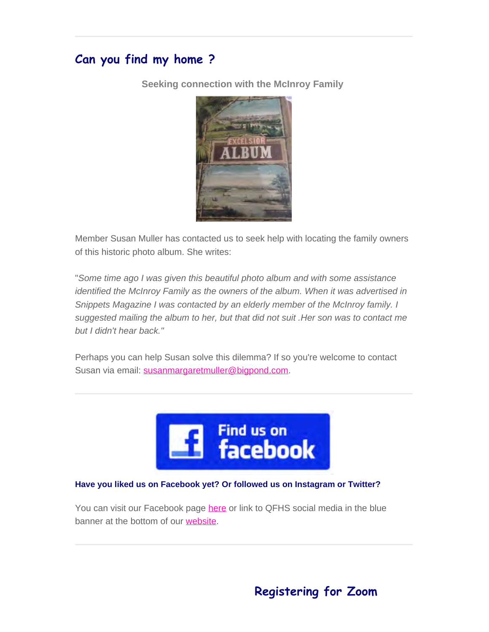# **Can you find my home ?**

**Seeking connection with the McInroy Family**



Member Susan Muller has contacted us to seek help with locating the family owners of this historic photo album. She writes:

"*Some time ago I was given this beautiful photo album and with some assistance identified the McInroy Family as the owners of the album. When it was advertised in Snippets Magazine I was contacted by an elderly member of the McInroy family. I suggested mailing the album to her, but that did not suit .Her son was to contact me but I didn't hear back."*

Perhaps you can help Susan solve this dilemma? If so you're welcome to contact Susan via email: [susanmargaretmuller@bigpond.com.](mailto:susanmargaretmuller@bigpond.com)



#### **Have you liked us on Facebook yet? Or followed us on Instagram or Twitter?**

You can visit our Facebook page [here](https://irelandxo.com/ireland-xo/news/ireland-xo-insight-what-did-your-ancestors-do?utm_medium=email&utm_source=emfluence&utm_campaign=The%20Occupation%20of%20our%20Ancestors) or link to QFHS social media in the blue banner at the bottom of our [website.](https://www.qfhs.org.au/)

# **Registering for Zoom**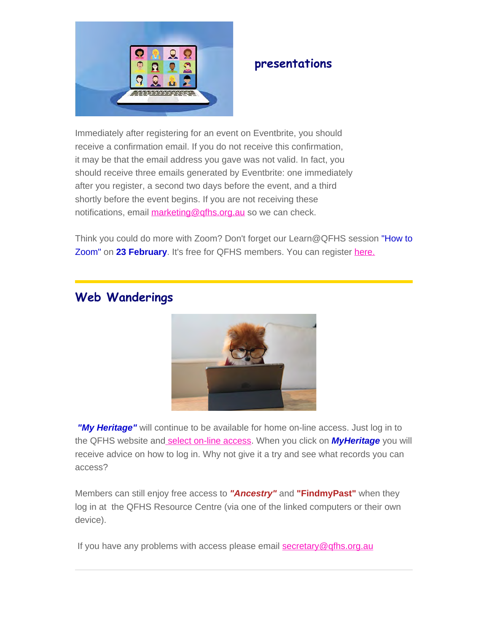

# **presentations**

Immediately after registering for an event on Eventbrite, you should receive a confirmation email. If you do not receive this confirmation, it may be that the email address you gave was not valid. In fact, you should receive three emails generated by Eventbrite: one immediately after you register, a second two days before the event, and a third shortly before the event begins. If you are not receiving these notifications, email [marketing@qfhs.org.au](mailto:marketing@qfhs.org.au) so we can check.

Think you could do more with Zoom? Don't forget our Learn@QFHS session "How to Zoom" on **23 February**. It's free for QFHS members. You can register [here.](https://www.eventbrite.com.au/e/how-to-zoom-tickets-251731213837)

# **Web Wanderings**



*"My Heritage"* will continue to be available for home on-line access. Just log in to the QFHS website an[d select on-line access](https://www.qfhs.org.au/online-access/). When you click on *MyHeritage* you will receive advice on how to log in. Why not give it a try and see what records you can access?

Members can still enjoy free access to *"Ancestry"* and **"FindmyPast"** when they log in at the QFHS Resource Centre (via one of the linked computers or their own device).

If you have any problems with access please email [secretary@qfhs.org.au](mailto:secretary@qfhs.org.au?subject=Access%20to%20Subscription%20sites)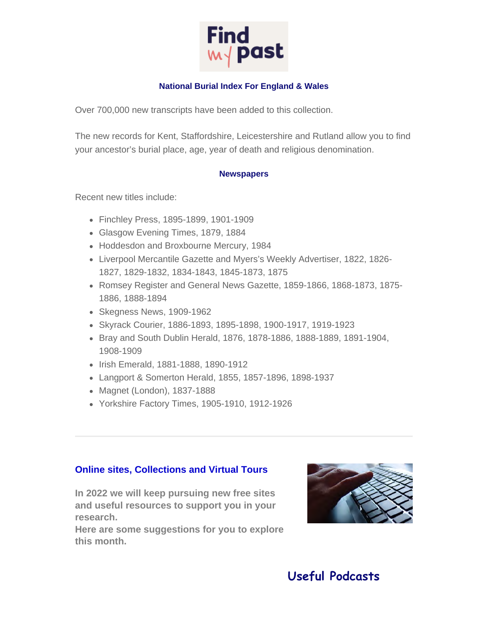

#### **National Burial Index For England & Wales**

Over 700,000 new transcripts have been added to this collection.

The new records for Kent, Staffordshire, Leicestershire and Rutland allow you to find your ancestor's burial place, age, year of death and religious denomination.

#### **Newspapers**

Recent new titles include:

- Finchley Press, 1895-1899, 1901-1909
- Glasgow Evening Times, 1879, 1884
- Hoddesdon and Broxbourne Mercury, 1984
- Liverpool Mercantile Gazette and Myers's Weekly Advertiser, 1822, 1826- 1827, 1829-1832, 1834-1843, 1845-1873, 1875
- Romsey Register and General News Gazette, 1859-1866, 1868-1873, 1875- 1886, 1888-1894
- Skegness News, 1909-1962
- Skyrack Courier, 1886-1893, 1895-1898, 1900-1917, 1919-1923
- Bray and South Dublin Herald, 1876, 1878-1886, 1888-1889, 1891-1904, 1908-1909
- Irish Emerald, 1881-1888, 1890-1912
- Langport & Somerton Herald, 1855, 1857-1896, 1898-1937
- Magnet (London), 1837-1888
- Yorkshire Factory Times, 1905-1910, 1912-1926

#### **Online sites, Collections and Virtual Tours**

**In 2022 we will keep pursuing new free sites and useful resources to support you in your research.**

**Here are some suggestions for you to explore this month.**



# **Useful Podcasts**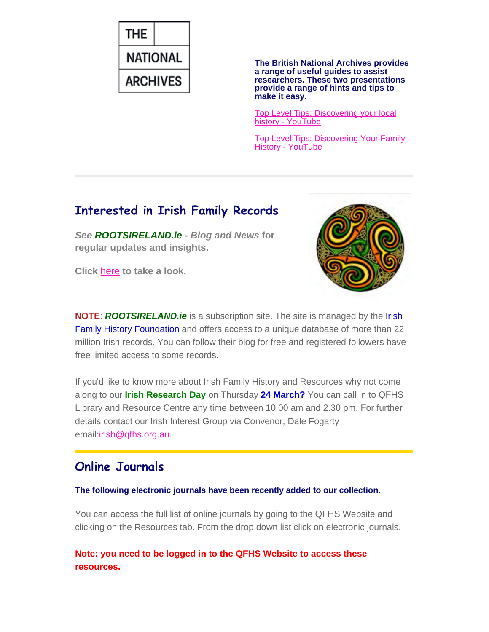

**The British National Archives provides a range of useful guides to assist researchers. These two presentations provide a range of hints and tips to make it easy.**

[Top Level Tips: Discovering your local](https://www.youtube.com/watch?v=kItJgdMqYdQ) [history - YouTube](https://www.youtube.com/watch?v=kItJgdMqYdQ)

[Top Level Tips: Discovering Your Family](https://www.youtube.com/watch?v=wZTHu5EX2Fs) [History - YouTube](https://www.youtube.com/watch?v=wZTHu5EX2Fs)

# **Interested in Irish Family Records**

*See ROOTSIRELAND.ie* **-** *Blog and News* **for regular updates and insights.**

**Click** [here](https://www.rootsireland.ie/category/blog/) **to take a look.**



**NOTE**: *ROOTSIRELAND.ie* is a subscription site. The site is managed by the Irish Family History Foundation and offers access to a unique database of more than 22 million Irish records. You can follow their blog for free and registered followers have free limited access to some records.

If you'd like to know more about Irish Family History and Resources why not come along to our **Irish Research Day** on Thursday **24 March?** You can call in to QFHS Library and Resource Centre any time between 10.00 am and 2.30 pm. For further details contact our Irish Interest Group via Convenor, Dale Fogarty email: *irish@qfhs.org.au.* 

### **Online Journals**

**The following electronic journals have been recently added to our collection.**

You can access the full list of online journals by going to the QFHS Website and clicking on the Resources tab. From the drop down list click on electronic journals.

**Note: you need to be logged in to the QFHS Website to access these resources.**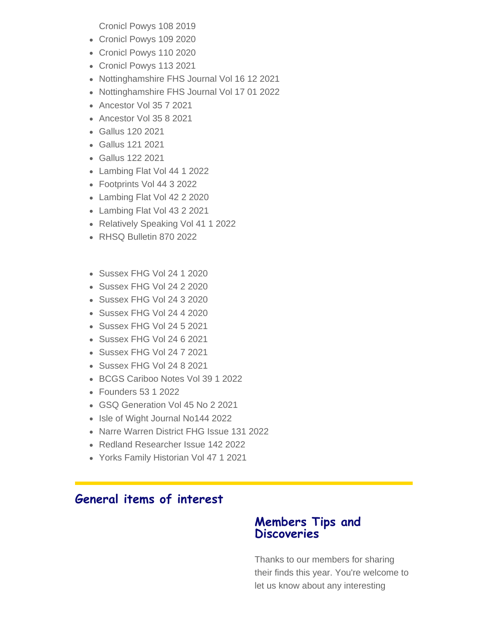Cronicl Powys 108 2019

- Cronicl Powys 109 2020
- Cronicl Powys 110 2020
- Cronicl Powys 113 2021
- Nottinghamshire FHS Journal Vol 16 12 2021
- Nottinghamshire FHS Journal Vol 17 01 2022
- Ancestor Vol 35 7 2021
- Ancestor Vol 35 8 2021
- Gallus 120 2021
- Gallus 121 2021
- Gallus 122 2021
- Lambing Flat Vol 44 1 2022
- Footprints Vol 44 3 2022
- Lambing Flat Vol 42 2 2020
- Lambing Flat Vol 43 2 2021
- Relatively Speaking Vol 41 1 2022
- RHSQ Bulletin 870 2022
- Sussex FHG Vol 24 1 2020
- Sussex FHG Vol 24 2 2020
- Sussex FHG Vol 24 3 2020
- Sussex FHG Vol 24 4 2020
- Sussex FHG Vol 24 5 2021
- Sussex FHG Vol 24 6 2021
- Sussex FHG Vol 24 7 2021
- Sussex FHG Vol 24 8 2021
- BCGS Cariboo Notes Vol 39 1 2022
- Founders 53 1 2022
- GSQ Generation Vol 45 No 2 2021
- Isle of Wight Journal No144 2022
- Narre Warren District FHG Issue 131 2022
- Redland Researcher Issue 142 2022
- Yorks Family Historian Vol 47 1 2021

# **General items of interest**

### **Members Tips and Discoveries**

Thanks to our members for sharing their finds this year. You're welcome to let us know about any interesting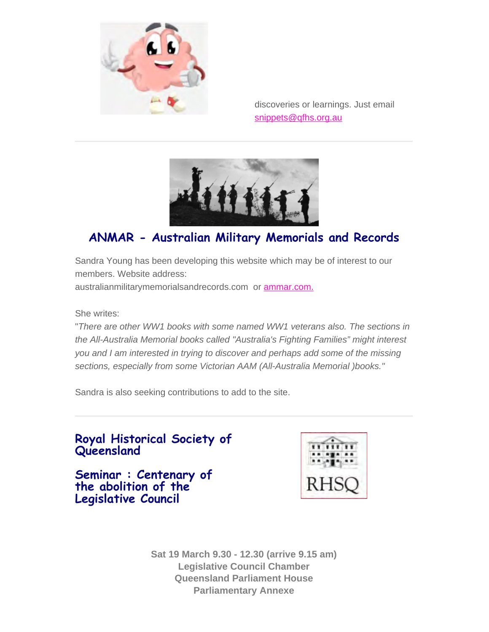

discoveries or learnings. Just email [snippets@qfhs.org.au](mailto:snippets@qfhs.org.au)



# **ANMAR - Australian Military Memorials and Records**

Sandra Young has been developing this website which may be of interest to our members. Website address:

australianmilitarymemorialsandrecords.com or [ammar.com.](https://australianmilitarymemorialsandrecords.com/)

She writes:

"*There are other WW1 books with some named WW1 veterans also. The sections in the All-Australia Memorial books called "Australia's Fighting Families" might interest you and I am interested in trying to discover and perhaps add some of the missing sections, especially from some Victorian AAM (All-Australia Memorial )books."*

Sandra is also seeking contributions to add to the site.



**Seminar : Centenary of the abolition of the Legislative Council**



**Sat 19 March 9.30 - 12.30 (arrive 9.15 am) Legislative Council Chamber Queensland Parliament House Parliamentary Annexe**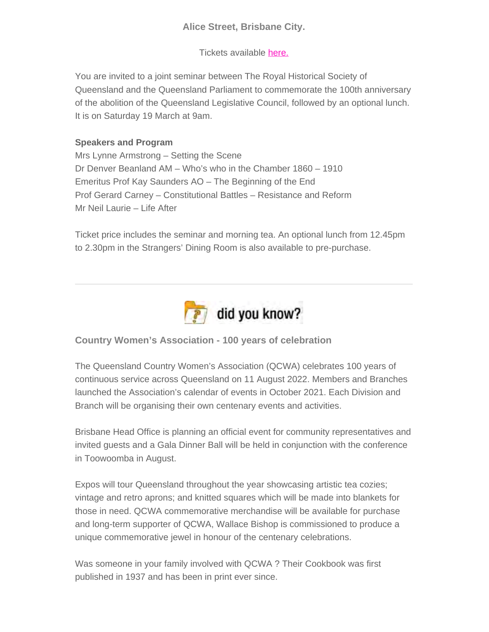#### **Alice Street, Brisbane City.**

Tickets available [here.](https://www.eventbrite.com.au/e/seminar-centenary-of-the-abolition-of-the-queensl-tickets-207645582527)

You are invited to a joint seminar between The Royal Historical Society of Queensland and the Queensland Parliament to commemorate the 100th anniversary of the abolition of the Queensland Legislative Council, followed by an optional lunch. It is on Saturday 19 March at 9am.

#### **Speakers and Program**

Mrs Lynne Armstrong – Setting the Scene Dr Denver Beanland AM – Who's who in the Chamber 1860 – 1910 Emeritus Prof Kay Saunders AO – The Beginning of the End Prof Gerard Carney – Constitutional Battles – Resistance and Reform Mr Neil Laurie – Life After

Ticket price includes the seminar and morning tea. An optional lunch from 12.45pm to 2.30pm in the Strangers' Dining Room is also available to pre-purchase.



**Country Women's Association - 100 years of celebration**

The Queensland Country Women's Association (QCWA) celebrates 100 years of continuous service across Queensland on 11 August 2022. Members and Branches launched the Association's calendar of events in October 2021. Each Division and Branch will be organising their own centenary events and activities.

Brisbane Head Office is planning an official event for community representatives and invited guests and a Gala Dinner Ball will be held in conjunction with the conference in Toowoomba in August.

Expos will tour Queensland throughout the year showcasing artistic tea cozies; vintage and retro aprons; and knitted squares which will be made into blankets for those in need. QCWA commemorative merchandise will be available for purchase and long-term supporter of QCWA, Wallace Bishop is commissioned to produce a unique commemorative jewel in honour of the centenary celebrations.

Was someone in your family involved with QCWA ? Their Cookbook was first published in 1937 and has been in print ever since.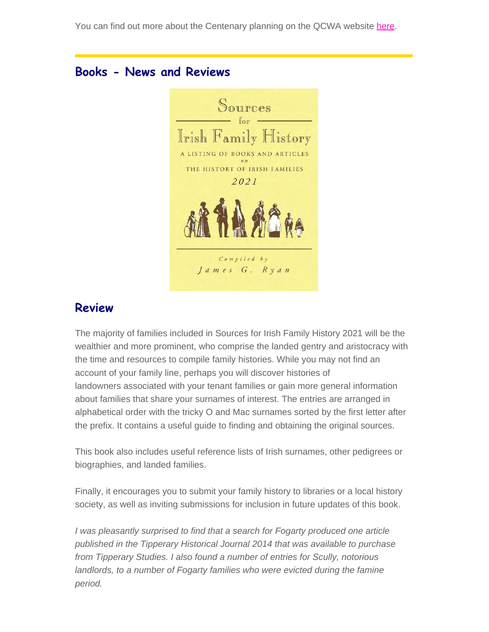You can find out more about the Centenary planning on the QCWA website [here](https://www.qcwa.org.au/2022-Centenary).

### **Books - News and Reviews**



### **Review**

The majority of families included in Sources for Irish Family History 2021 will be the wealthier and more prominent, who comprise the landed gentry and aristocracy with the time and resources to compile family histories. While you may not find an account of your family line, perhaps you will discover histories of landowners associated with your tenant families or gain more general information about families that share your surnames of interest. The entries are arranged in alphabetical order with the tricky O and Mac surnames sorted by the first letter after the prefix. It contains a useful guide to finding and obtaining the original sources.

This book also includes useful reference lists of Irish surnames, other pedigrees or biographies, and landed families.

Finally, it encourages you to submit your family history to libraries or a local history society, as well as inviting submissions for inclusion in future updates of this book.

*I was pleasantly surprised to find that a search for Fogarty produced one article published in the Tipperary Historical Journal 2014 that was available to purchase from Tipperary Studies. I also found a number of entries for Scully, notorious landlords, to a number of Fogarty families who were evicted during the famine period.*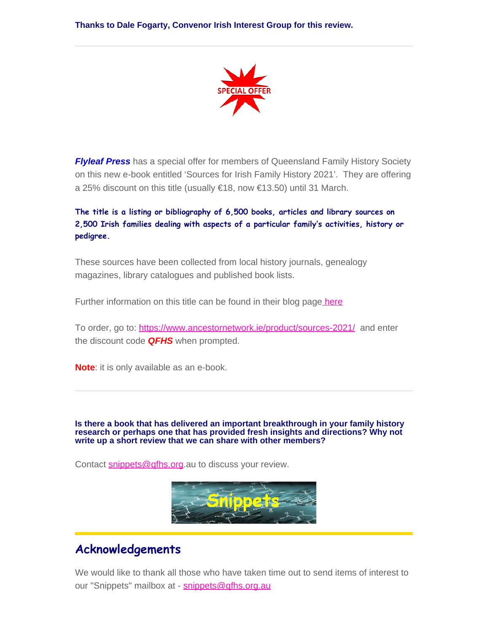**Thanks to Dale Fogarty, Convenor Irish Interest Group for this review.**



*Flyleaf Press* has a special offer for members of Queensland Family History Society on this new e-book entitled 'Sources for Irish Family History 2021'. They are offering a 25% discount on this title (usually €18, now €13.50) until 31 March.

**The title is a listing or bibliography of 6,500 books, articles and library sources on 2,500 Irish families dealing with aspects of a particular family's activities, history or pedigree.**

These sources have been collected from local history journals, genealogy magazines, library catalogues and published book lists.

Further information on this title can be found in their blog pag[e here](https://www.ancestornetwork.ie/new-e-book-sources-for-irish-family-history-2021/)

To order, go to: <https://www.ancestornetwork.ie/product/sources-2021/> and enter the discount code *QFHS* when prompted.

**Note**: it is only available as an e-book.

**Is there a book that has delivered an important breakthrough in your family history research or perhaps one that has provided fresh insights and directions? Why not write up a short review that we can share with other members?**

Contact [snippets@qfhs.org](mailto:snippets@qfhs.org.au).au to discuss your review.



### **Acknowledgements**

We would like to thank all those who have taken time out to send items of interest to our "Snippets" mailbox at - [snippets@qfhs.org.au](mailto:snippets@qfhs.org.au)